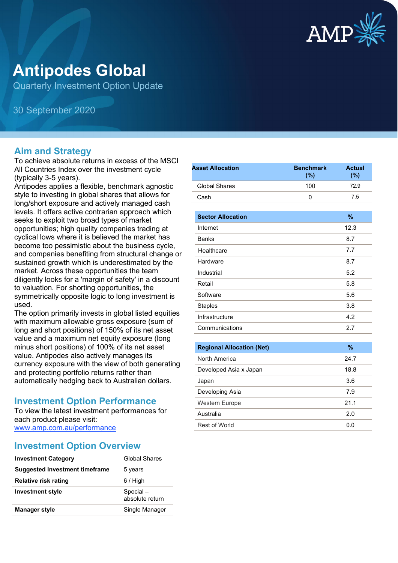

# **Antipodes Global**

Quarterly Investment Option Update

30 September 2020

#### **Aim and Strategy**

To achieve absolute returns in excess of the MSCI All Countries Index over the investment cycle (typically 3-5 years).

Antipodes applies a flexible, benchmark agnostic style to investing in global shares that allows for long/short exposure and actively managed cash levels. It offers active contrarian approach which seeks to exploit two broad types of market opportunities; high quality companies trading at cyclical lows where it is believed the market has become too pessimistic about the business cycle, and companies benefiting from structural change or sustained growth which is underestimated by the market. Across these opportunities the team diligently looks for a 'margin of safety' in a discount to valuation. For shorting opportunities, the symmetrically opposite logic to long investment is used.

The option primarily invests in global listed equities with maximum allowable gross exposure (sum of long and short positions) of 150% of its net asset value and a maximum net equity exposure (long minus short positions) of 100% of its net asset value. Antipodes also actively manages its currency exposure with the view of both generating and protecting portfolio returns rather than automatically hedging back to Australian dollars.

#### **Investment Option Performance**

To view the latest investment performances for each product please visit: [www.amp.com.au/performance](https://www.amp.com.au/performance)

#### **Investment Option Overview**

| <b>Investment Category</b>            | Global Shares               |
|---------------------------------------|-----------------------------|
| <b>Suggested Investment timeframe</b> | 5 years                     |
| <b>Relative risk rating</b>           | 6 / High                    |
| <b>Investment style</b>               | Special-<br>absolute return |
| <b>Manager style</b>                  | Single Manager              |

| <b>Asset Allocation</b>          | <b>Benchmark</b><br>(%) | <b>Actual</b><br>(%) |
|----------------------------------|-------------------------|----------------------|
| <b>Global Shares</b>             | 100                     | 72.9                 |
| Cash                             | 0                       | 7.5                  |
| <b>Sector Allocation</b>         |                         | $\frac{9}{6}$        |
| Internet                         |                         | 12.3                 |
| <b>Banks</b>                     |                         | 8.7                  |
| Healthcare                       |                         | 7.7                  |
| Hardware                         |                         | 8.7                  |
| Industrial                       |                         | 5.2                  |
| Retail                           |                         | 5.8                  |
| Software                         |                         | 5.6                  |
| <b>Staples</b>                   |                         | 3.8                  |
| Infrastructure                   |                         | 4.2                  |
| Communications                   |                         | 2.7                  |
|                                  |                         |                      |
| <b>Regional Allocation (Net)</b> |                         | $\frac{9}{6}$        |
| North America                    |                         | 24.7                 |
| Developed Asia x Japan           |                         | 18.8                 |
| Japan                            |                         | 3.6                  |
| Developing Asia                  |                         | 7.9                  |
| Western Europe                   |                         | 21.1                 |
| Australia                        |                         | 2.0                  |
| <b>Rest of World</b>             |                         | 0.0                  |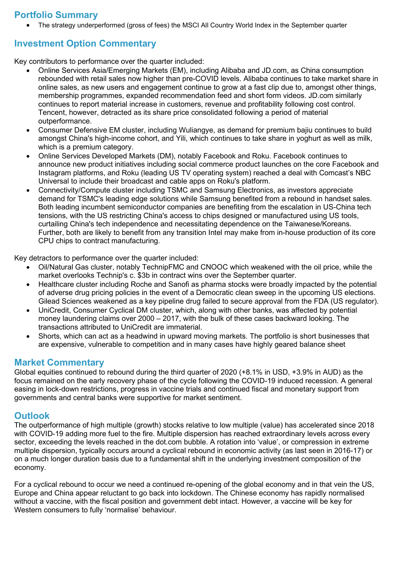### **Portfolio Summary**

• The strategy underperformed (gross of fees) the MSCI All Country World Index in the September quarter

## **Investment Option Commentary**

Key contributors to performance over the quarter included:

- Online Services Asia/Emerging Markets (EM), including Alibaba and JD.com, as China consumption rebounded with retail sales now higher than pre-COVID levels. Alibaba continues to take market share in online sales, as new users and engagement continue to grow at a fast clip due to, amongst other things, membership programmes, expanded recommendation feed and short form videos. JD.com similarly continues to report material increase in customers, revenue and profitability following cost control. Tencent, however, detracted as its share price consolidated following a period of material outperformance.
- Consumer Defensive EM cluster, including Wuliangye, as demand for premium bajiu continues to build amongst China's high-income cohort, and Yili, which continues to take share in yoghurt as well as milk, which is a premium category.
- Online Services Developed Markets (DM), notably Facebook and Roku. Facebook continues to announce new product initiatives including social commerce product launches on the core Facebook and Instagram platforms, and Roku (leading US TV operating system) reached a deal with Comcast's NBC Universal to include their broadcast and cable apps on Roku's platform.
- Connectivity/Compute cluster including TSMC and Samsung Electronics, as investors appreciate demand for TSMC's leading edge solutions while Samsung benefited from a rebound in handset sales. Both leading incumbent semiconductor companies are benefiting from the escalation in US-China tech tensions, with the US restricting China's access to chips designed or manufactured using US tools, curtailing China's tech independence and necessitating dependence on the Taiwanese/Koreans. Further, both are likely to benefit from any transition Intel may make from in-house production of its core CPU chips to contract manufacturing.

Key detractors to performance over the quarter included:

- Oil/Natural Gas cluster, notably TechnipFMC and CNOOC which weakened with the oil price, while the market overlooks Technip's c. \$3b in contract wins over the September quarter.
- Healthcare cluster including Roche and Sanofi as pharma stocks were broadly impacted by the potential of adverse drug pricing policies in the event of a Democratic clean sweep in the upcoming US elections. Gilead Sciences weakened as a key pipeline drug failed to secure approval from the FDA (US regulator).
- UniCredit, Consumer Cyclical DM cluster, which, along with other banks, was affected by potential money laundering claims over 2000 – 2017, with the bulk of these cases backward looking. The transactions attributed to UniCredit are immaterial.
- Shorts, which can act as a headwind in upward moving markets. The portfolio is short businesses that are expensive, vulnerable to competition and in many cases have highly geared balance sheet

#### **Market Commentary**

Global equities continued to rebound during the third quarter of 2020 (+8.1% in USD, +3.9% in AUD) as the focus remained on the early recovery phase of the cycle following the COVID-19 induced recession. A general easing in lock-down restrictions, progress in vaccine trials and continued fiscal and monetary support from governments and central banks were supportive for market sentiment.

#### **Outlook**

The outperformance of high multiple (growth) stocks relative to low multiple (value) has accelerated since 2018 with COVID-19 adding more fuel to the fire. Multiple dispersion has reached extraordinary levels across every sector, exceeding the levels reached in the dot.com bubble. A rotation into 'value', or compression in extreme multiple dispersion, typically occurs around a cyclical rebound in economic activity (as last seen in 2016-17) or on a much longer duration basis due to a fundamental shift in the underlying investment composition of the economy.

For a cyclical rebound to occur we need a continued re-opening of the global economy and in that vein the US, Europe and China appear reluctant to go back into lockdown. The Chinese economy has rapidly normalised without a vaccine, with the fiscal position and government debt intact. However, a vaccine will be key for Western consumers to fully 'normalise' behaviour.